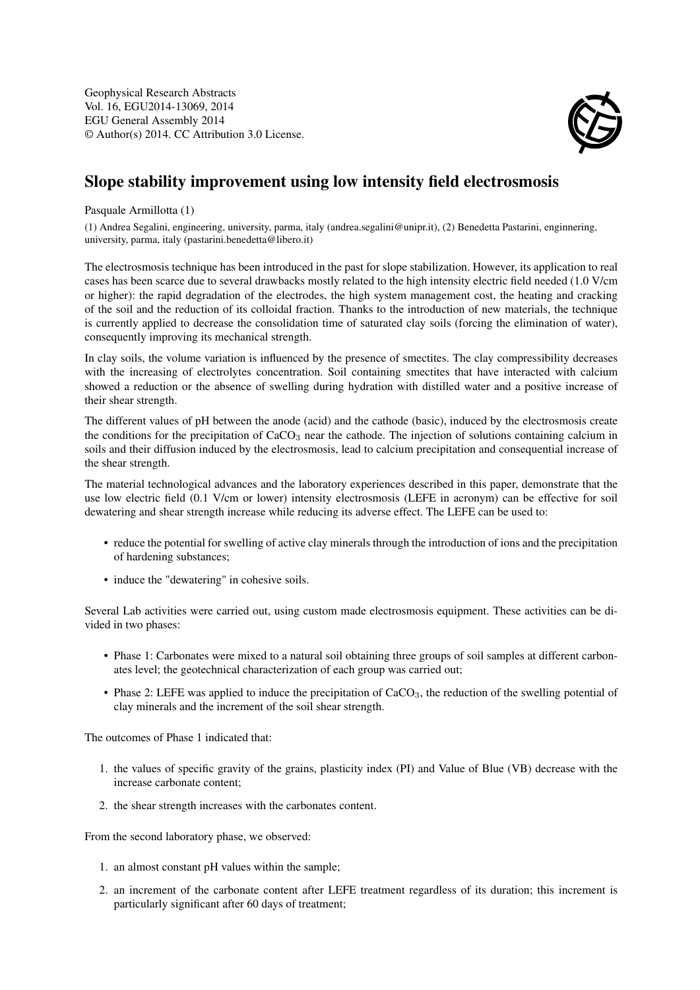Geophysical Research Abstracts Vol. 16, EGU2014-13069, 2014 EGU General Assembly 2014 © Author(s) 2014. CC Attribution 3.0 License.



## Slope stability improvement using low intensity field electrosmosis

Pasquale Armillotta (1)

(1) Andrea Segalini, engineering, university, parma, italy (andrea.segalini@unipr.it), (2) Benedetta Pastarini, enginnering, university, parma, italy (pastarini.benedetta@libero.it)

The electrosmosis technique has been introduced in the past for slope stabilization. However, its application to real cases has been scarce due to several drawbacks mostly related to the high intensity electric field needed (1.0 V/cm or higher): the rapid degradation of the electrodes, the high system management cost, the heating and cracking of the soil and the reduction of its colloidal fraction. Thanks to the introduction of new materials, the technique is currently applied to decrease the consolidation time of saturated clay soils (forcing the elimination of water), consequently improving its mechanical strength.

In clay soils, the volume variation is influenced by the presence of smectites. The clay compressibility decreases with the increasing of electrolytes concentration. Soil containing smectites that have interacted with calcium showed a reduction or the absence of swelling during hydration with distilled water and a positive increase of their shear strength.

The different values of pH between the anode (acid) and the cathode (basic), induced by the electrosmosis create the conditions for the precipitation of  $CaCO<sub>3</sub>$  near the cathode. The injection of solutions containing calcium in soils and their diffusion induced by the electrosmosis, lead to calcium precipitation and consequential increase of the shear strength.

The material technological advances and the laboratory experiences described in this paper, demonstrate that the use low electric field (0.1 V/cm or lower) intensity electrosmosis (LEFE in acronym) can be effective for soil dewatering and shear strength increase while reducing its adverse effect. The LEFE can be used to:

- reduce the potential for swelling of active clay minerals through the introduction of ions and the precipitation of hardening substances;
- induce the "dewatering" in cohesive soils.

Several Lab activities were carried out, using custom made electrosmosis equipment. These activities can be divided in two phases:

- Phase 1: Carbonates were mixed to a natural soil obtaining three groups of soil samples at different carbonates level; the geotechnical characterization of each group was carried out;
- Phase 2: LEFE was applied to induce the precipitation of CaCO<sub>3</sub>, the reduction of the swelling potential of clay minerals and the increment of the soil shear strength.

The outcomes of Phase 1 indicated that:

- 1. the values of specific gravity of the grains, plasticity index (PI) and Value of Blue (VB) decrease with the increase carbonate content;
- 2. the shear strength increases with the carbonates content.

From the second laboratory phase, we observed:

- 1. an almost constant pH values within the sample;
- 2. an increment of the carbonate content after LEFE treatment regardless of its duration; this increment is particularly significant after 60 days of treatment;